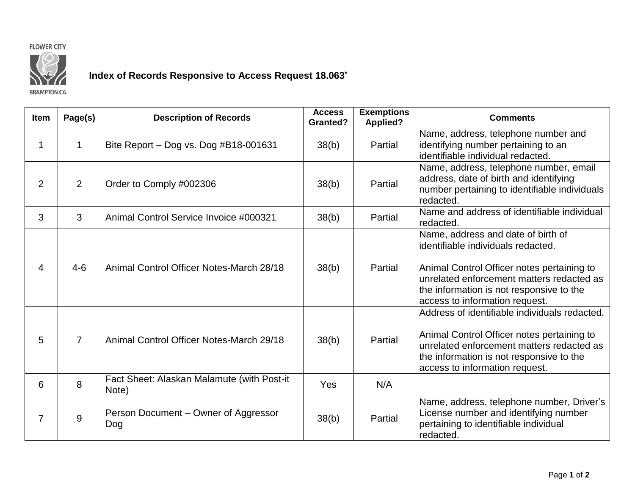## **FLOWER CITY**



## **Index of Records Responsive to Access Request 18.063\***

**BRAMPTON.CA** 

| <b>Item</b>    | Page(s)        | <b>Description of Records</b>                       | <b>Access</b><br>Granted? | <b>Exemptions</b><br><b>Applied?</b> | <b>Comments</b>                                                                                                                                                                                                                                   |
|----------------|----------------|-----------------------------------------------------|---------------------------|--------------------------------------|---------------------------------------------------------------------------------------------------------------------------------------------------------------------------------------------------------------------------------------------------|
| 1              | 1              | Bite Report - Dog vs. Dog #B18-001631               | 38(b)                     | Partial                              | Name, address, telephone number and<br>identifying number pertaining to an<br>identifiable individual redacted.                                                                                                                                   |
| $\overline{2}$ | 2              | Order to Comply #002306                             | 38(b)                     | Partial                              | Name, address, telephone number, email<br>address, date of birth and identifying<br>number pertaining to identifiable individuals<br>redacted.                                                                                                    |
| 3              | 3              | Animal Control Service Invoice #000321              | 38(b)                     | Partial                              | Name and address of identifiable individual<br>redacted.                                                                                                                                                                                          |
| 4              | $4 - 6$        | Animal Control Officer Notes-March 28/18            | 38(b)                     | Partial                              | Name, address and date of birth of<br>identifiable individuals redacted.<br>Animal Control Officer notes pertaining to<br>unrelated enforcement matters redacted as<br>the information is not responsive to the<br>access to information request. |
| 5              | $\overline{7}$ | Animal Control Officer Notes-March 29/18            | 38(b)                     | Partial                              | Address of identifiable individuals redacted.<br>Animal Control Officer notes pertaining to<br>unrelated enforcement matters redacted as<br>the information is not responsive to the<br>access to information request.                            |
| 6              | 8              | Fact Sheet: Alaskan Malamute (with Post-it<br>Note) | Yes                       | N/A                                  |                                                                                                                                                                                                                                                   |
| 7              | 9              | Person Document – Owner of Aggressor<br>Dog         | 38(b)                     | Partial                              | Name, address, telephone number, Driver's<br>License number and identifying number<br>pertaining to identifiable individual<br>redacted.                                                                                                          |